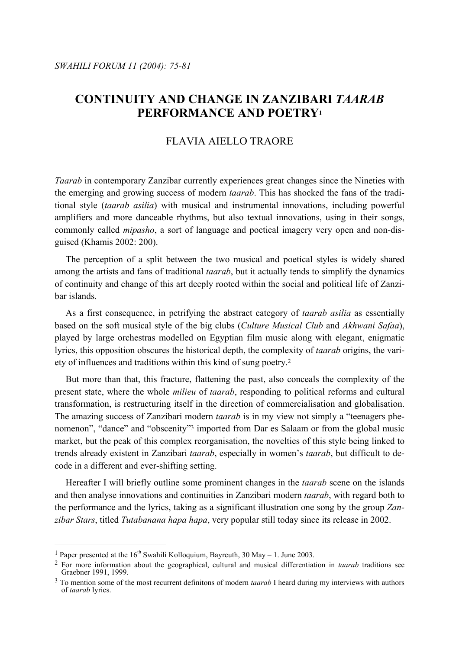# **CONTINUITY AND CHANGE IN ZANZIBARI** *TAARAB* **PERFORMANCE AND POETRY1**

# FLAVIA AIELLO TRAORE

*Taarab* in contemporary Zanzibar currently experiences great changes since the Nineties with the emerging and growing success of modern *taarab*. This has shocked the fans of the traditional style (*taarab asilia*) with musical and instrumental innovations, including powerful amplifiers and more danceable rhythms, but also textual innovations, using in their songs, commonly called *mipasho*, a sort of language and poetical imagery very open and non-disguised (Khamis 2002: 200).

 The perception of a split between the two musical and poetical styles is widely shared among the artists and fans of traditional *taarab*, but it actually tends to simplify the dynamics of continuity and change of this art deeply rooted within the social and political life of Zanzibar islands.

 As a first consequence, in petrifying the abstract category of *taarab asilia* as essentially based on the soft musical style of the big clubs (*Culture Musical Club* and *Akhwani Safaa*), played by large orchestras modelled on Egyptian film music along with elegant, enigmatic lyrics, this opposition obscures the historical depth, the complexity of *taarab* origins, the variety of influences and traditions within this kind of sung poetry.2

 But more than that, this fracture, flattening the past, also conceals the complexity of the present state, where the whole *milieu* of *taarab*, responding to political reforms and cultural transformation, is restructuring itself in the direction of commercialisation and globalisation. The amazing success of Zanzibari modern *taarab* is in my view not simply a "teenagers phenomenon", "dance" and "obscenity"3 imported from Dar es Salaam or from the global music market, but the peak of this complex reorganisation, the novelties of this style being linked to trends already existent in Zanzibari *taarab*, especially in women's *taarab*, but difficult to decode in a different and ever-shifting setting.

 Hereafter I will briefly outline some prominent changes in the *taarab* scene on the islands and then analyse innovations and continuities in Zanzibari modern *taarab*, with regard both to the performance and the lyrics, taking as a significant illustration one song by the group *Zanzibar Stars*, titled *Tutabanana hapa hapa*, very popular still today since its release in 2002.

<sup>&</sup>lt;sup>1</sup> Paper presented at the 16<sup>th</sup> Swahili Kolloquium, Bayreuth, 30 May – 1. June 2003.

<sup>2</sup> For more information about the geographical, cultural and musical differentiation in *taarab* traditions see Graebner 1991, 1999.

<sup>3</sup> To mention some of the most recurrent definitons of modern *taarab* I heard during my interviews with authors of *taarab* lyrics.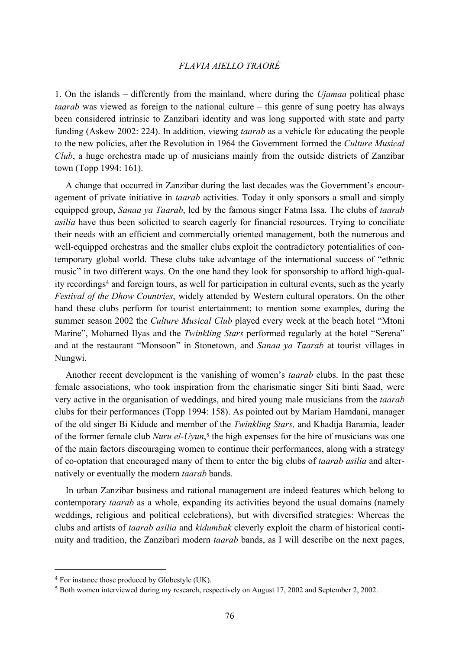### *FLAVIA AIELLO TRAORÉ*

1. On the islands – differently from the mainland, where during the *Ujamaa* political phase *taarab* was viewed as foreign to the national culture – this genre of sung poetry has always been considered intrinsic to Zanzibari identity and was long supported with state and party funding (Askew 2002: 224). In addition, viewing *taarab* as a vehicle for educating the people to the new policies, after the Revolution in 1964 the Government formed the *Culture Musical Club*, a huge orchestra made up of musicians mainly from the outside districts of Zanzibar town (Topp 1994: 161).

 A change that occurred in Zanzibar during the last decades was the Government's encouragement of private initiative in *taarab* activities. Today it only sponsors a small and simply equipped group, *Sanaa ya Taarab*, led by the famous singer Fatma Issa. The clubs of *taarab asilia* have thus been solicited to search eagerly for financial resources. Trying to conciliate their needs with an efficient and commercially oriented management, both the numerous and well-equipped orchestras and the smaller clubs exploit the contradictory potentialities of contemporary global world. These clubs take advantage of the international success of "ethnic music" in two different ways. On the one hand they look for sponsorship to afford high-quality recordings4 and foreign tours, as well for participation in cultural events, such as the yearly *Festival of the Dhow Countries*, widely attended by Western cultural operators. On the other hand these clubs perform for tourist entertainment; to mention some examples, during the summer season 2002 the *Culture Musical Club* played every week at the beach hotel "Mtoni Marine", Mohamed Ilyas and the *Twinkling Stars* performed regularly at the hotel "Serena" and at the restaurant "Monsoon" in Stonetown, and *Sanaa ya Taarab* at tourist villages in Nungwi.

 Another recent development is the vanishing of women's *taarab* clubs. In the past these female associations, who took inspiration from the charismatic singer Siti binti Saad, were very active in the organisation of weddings, and hired young male musicians from the *taarab* clubs for their performances (Topp 1994: 158). As pointed out by Mariam Hamdani, manager of the old singer Bi Kidude and member of the *Twinkling Stars,* and Khadija Baramia, leader of the former female club *Nuru el-Uyun*, 5 the high expenses for the hire of musicians was one of the main factors discouraging women to continue their performances, along with a strategy of co-optation that encouraged many of them to enter the big clubs of *taarab asilia* and alternatively or eventually the modern *taarab* bands.

 In urban Zanzibar business and rational management are indeed features which belong to contemporary *taarab* as a whole, expanding its activities beyond the usual domains (namely weddings, religious and political celebrations), but with diversified strategies: Whereas the clubs and artists of *taarab asilia* and *kidumbak* cleverly exploit the charm of historical continuity and tradition, the Zanzibari modern *taarab* bands, as I will describe on the next pages,

<sup>4</sup> For instance those produced by Globestyle (UK).

<sup>5</sup> Both women interviewed during my research, respectively on August 17, 2002 and September 2, 2002.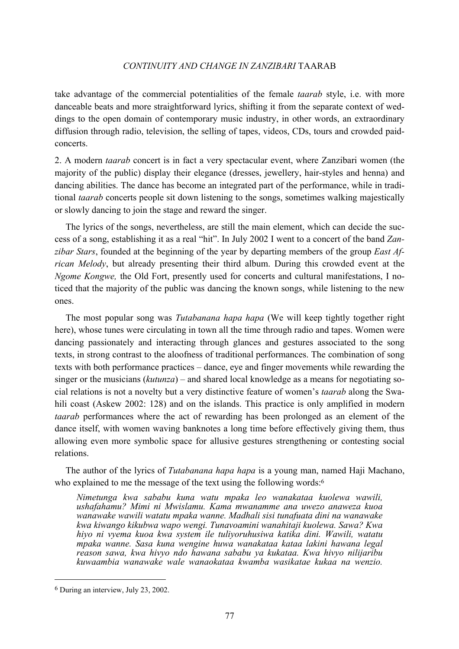# *CONTINUITY AND CHANGE IN ZANZIBARI* TAARAB

take advantage of the commercial potentialities of the female *taarab* style, i.e. with more danceable beats and more straightforward lyrics, shifting it from the separate context of weddings to the open domain of contemporary music industry, in other words, an extraordinary diffusion through radio, television, the selling of tapes, videos, CDs, tours and crowded paidconcerts.

2. A modern *taarab* concert is in fact a very spectacular event, where Zanzibari women (the majority of the public) display their elegance (dresses, jewellery, hair-styles and henna) and dancing abilities. The dance has become an integrated part of the performance, while in traditional *taarab* concerts people sit down listening to the songs, sometimes walking majestically or slowly dancing to join the stage and reward the singer.

 The lyrics of the songs, nevertheless, are still the main element, which can decide the success of a song, establishing it as a real "hit". In July 2002 I went to a concert of the band *Zanzibar Stars*, founded at the beginning of the year by departing members of the group *East African Melody*, but already presenting their third album. During this crowded event at the *Ngome Kongwe,* the Old Fort, presently used for concerts and cultural manifestations, I noticed that the majority of the public was dancing the known songs, while listening to the new ones.

 The most popular song was *Tutabanana hapa hapa* (We will keep tightly together right here), whose tunes were circulating in town all the time through radio and tapes. Women were dancing passionately and interacting through glances and gestures associated to the song texts, in strong contrast to the aloofness of traditional performances. The combination of song texts with both performance practices – dance, eye and finger movements while rewarding the singer or the musicians (*kutunza*) – and shared local knowledge as a means for negotiating social relations is not a novelty but a very distinctive feature of women's *taarab* along the Swahili coast (Askew 2002: 128) and on the islands. This practice is only amplified in modern *taarab* performances where the act of rewarding has been prolonged as an element of the dance itself, with women waving banknotes a long time before effectively giving them, thus allowing even more symbolic space for allusive gestures strengthening or contesting social relations.

 The author of the lyrics of *Tutabanana hapa hapa* is a young man, named Haji Machano, who explained to me the message of the text using the following words:<sup>6</sup>

*Nimetunga kwa sababu kuna watu mpaka leo wanakataa kuolewa wawili, ushafahamu? Mimi ni Mwislamu. Kama mwanamme ana uwezo anaweza kuoa wanawake wawili watatu mpaka wanne. Madhali sisi tunafuata dini na wanawake kwa kiwango kikubwa wapo wengi. Tunavoamini wanahitaji kuolewa. Sawa? Kwa hiyo ni vyema kuoa kwa system ile tuliyoruhusiwa katika dini. Wawili, watatu mpaka wanne. Sasa kuna wengine huwa wanakataa kataa lakini hawana legal reason sawa, kwa hivyo ndo hawana sababu ya kukataa. Kwa hivyo nilijaribu kuwaambia wanawake wale wanaokataa kwamba wasikatae kukaa na wenzio.* 

<sup>6</sup> During an interview, July 23, 2002.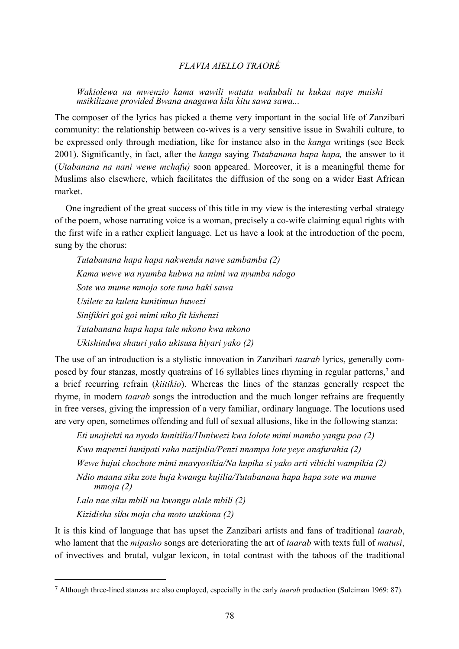# *FLAVIA AIELLO TRAORÉ*

*Wakiolewa na mwenzio kama wawili watatu wakubali tu kukaa naye muishi msikilizane provided Bwana anagawa kila kitu sawa sawa...*

The composer of the lyrics has picked a theme very important in the social life of Zanzibari community: the relationship between co-wives is a very sensitive issue in Swahili culture, to be expressed only through mediation, like for instance also in the *kanga* writings (see Beck 2001). Significantly, in fact, after the *kanga* saying *Tutabanana hapa hapa,* the answer to it (*Utabanana na nani wewe mchafu)* soon appeared. Moreover, it is a meaningful theme for Muslims also elsewhere, which facilitates the diffusion of the song on a wider East African market.

 One ingredient of the great success of this title in my view is the interesting verbal strategy of the poem, whose narrating voice is a woman, precisely a co-wife claiming equal rights with the first wife in a rather explicit language. Let us have a look at the introduction of the poem, sung by the chorus:

*Tutabanana hapa hapa nakwenda nawe sambamba (2) Kama wewe wa nyumba kubwa na mimi wa nyumba ndogo Sote wa mume mmoja sote tuna haki sawa Usilete za kuleta kunitimua huwezi Sinifikiri goi goi mimi niko fit kishenzi Tutabanana hapa hapa tule mkono kwa mkono Ukishindwa shauri yako ukisusa hiyari yako (2)*

The use of an introduction is a stylistic innovation in Zanzibari *taarab* lyrics, generally composed by four stanzas, mostly quatrains of 16 syllables lines rhyming in regular patterns,7 and a brief recurring refrain (*kiitikio*). Whereas the lines of the stanzas generally respect the rhyme, in modern *taarab* songs the introduction and the much longer refrains are frequently in free verses, giving the impression of a very familiar, ordinary language. The locutions used are very open, sometimes offending and full of sexual allusions, like in the following stanza:

*Eti unajiekti na nyodo kunitilia/Huniwezi kwa lolote mimi mambo yangu poa (2) Kwa mapenzi hunipati raha nazijulia/Penzi nnampa lote yeye anafurahia (2) Wewe hujui chochote mimi nnavyosikia/Na kupika si yako arti vibichi wampikia (2) Ndio maana siku zote huja kwangu kujilia/Tutabanana hapa hapa sote wa mume mmoja (2) Lala nae siku mbili na kwangu alale mbili (2)* 

*Kizidisha siku moja cha moto utakiona (2)* 

 $\overline{a}$ 

It is this kind of language that has upset the Zanzibari artists and fans of traditional *taarab*, who lament that the *mipasho* songs are deteriorating the art of *taarab* with texts full of *matusi*, of invectives and brutal, vulgar lexicon, in total contrast with the taboos of the traditional

<sup>7</sup> Although three-lined stanzas are also employed, especially in the early *taarab* production (Suleiman 1969: 87).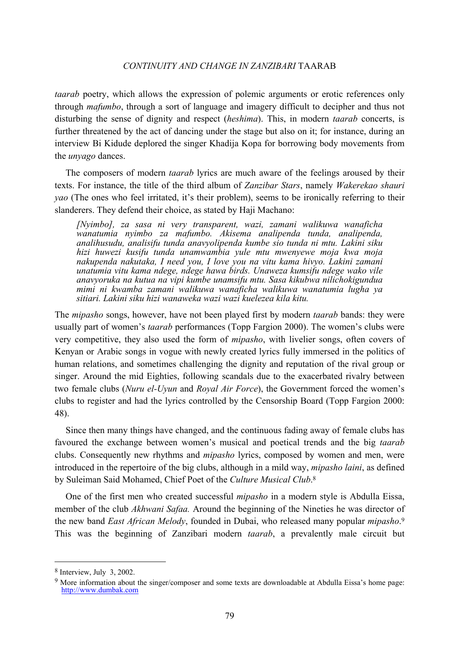#### *CONTINUITY AND CHANGE IN ZANZIBARI* TAARAB

*taarab* poetry, which allows the expression of polemic arguments or erotic references only through *mafumbo*, through a sort of language and imagery difficult to decipher and thus not disturbing the sense of dignity and respect (*heshima*). This, in modern *taarab* concerts, is further threatened by the act of dancing under the stage but also on it; for instance, during an interview Bi Kidude deplored the singer Khadija Kopa for borrowing body movements from the *unyago* dances.

 The composers of modern *taarab* lyrics are much aware of the feelings aroused by their texts. For instance, the title of the third album of *Zanzibar Stars*, namely *Wakerekao shauri yao* (The ones who feel irritated, it's their problem), seems to be ironically referring to their slanderers. They defend their choice, as stated by Haji Machano:

*[Nyimbo], za sasa ni very transparent, wazi, zamani walikuwa wanaficha wanatumia nyimbo za mafumbo. Akisema analipenda tunda, analipenda, analihusudu, analisifu tunda anavyolipenda kumbe sio tunda ni mtu. Lakini siku hizi huwezi kusifu tunda unamwambia yule mtu mwenyewe moja kwa moja nakupenda nakutaka, I need you, I love you na vitu kama hivyo. Lakini zamani unatumia vitu kama ndege, ndege hawa birds. Unaweza kumsifu ndege wako vile anavyoruka na kutua na vipi kumbe unamsifu mtu. Sasa kikubwa nilichokigundua mimi ni kwamba zamani walikuwa wanaficha walikuwa wanatumia lugha ya sitiari. Lakini siku hizi wanaweka wazi wazi kuelezea kila kitu.* 

The *mipasho* songs, however, have not been played first by modern *taarab* bands: they were usually part of women's *taarab* performances (Topp Fargion 2000). The women's clubs were very competitive, they also used the form of *mipasho*, with livelier songs, often covers of Kenyan or Arabic songs in vogue with newly created lyrics fully immersed in the politics of human relations, and sometimes challenging the dignity and reputation of the rival group or singer. Around the mid Eighties, following scandals due to the exacerbated rivalry between two female clubs (*Nuru el-Uyun* and *Royal Air Force*), the Government forced the women's clubs to register and had the lyrics controlled by the Censorship Board (Topp Fargion 2000: 48).

 Since then many things have changed, and the continuous fading away of female clubs has favoured the exchange between women's musical and poetical trends and the big *taarab* clubs. Consequently new rhythms and *mipasho* lyrics, composed by women and men, were introduced in the repertoire of the big clubs, although in a mild way, *mipasho laini*, as defined by Suleiman Said Mohamed, Chief Poet of the *Culture Musical Club*. 8

 One of the first men who created successful *mipasho* in a modern style is Abdulla Eissa, member of the club *Akhwani Safaa.* Around the beginning of the Nineties he was director of the new band *East African Melody*, founded in Dubai, who released many popular *mipasho*. 9 This was the beginning of Zanzibari modern *taarab*, a prevalently male circuit but

<sup>8</sup> Interview, July 3, 2002.

<sup>9</sup> More information about the singer/composer and some texts are downloadable at Abdulla Eissa's home page: http://www.dumbak.com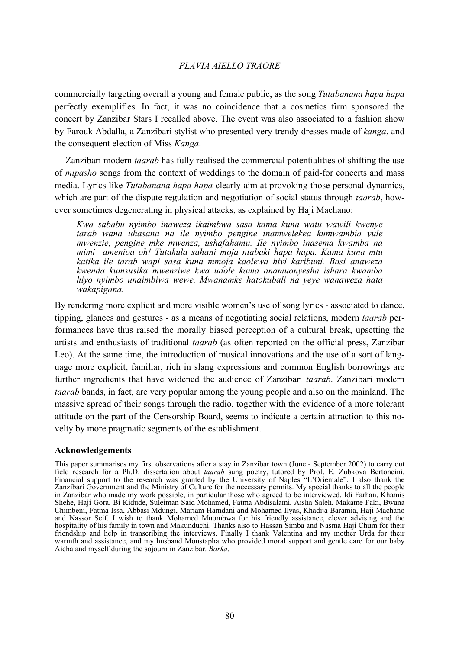# *FLAVIA AIELLO TRAORÉ*

commercially targeting overall a young and female public, as the song *Tutabanana hapa hapa*  perfectly exemplifies. In fact, it was no coincidence that a cosmetics firm sponsored the concert by Zanzibar Stars I recalled above. The event was also associated to a fashion show by Farouk Abdalla, a Zanzibari stylist who presented very trendy dresses made of *kanga*, and the consequent election of Miss *Kanga*.

 Zanzibari modern *taarab* has fully realised the commercial potentialities of shifting the use of *mipasho* songs from the context of weddings to the domain of paid-for concerts and mass media. Lyrics like *Tutabanana hapa hapa* clearly aim at provoking those personal dynamics, which are part of the dispute regulation and negotiation of social status through *taarab*, however sometimes degenerating in physical attacks, as explained by Haji Machano:

*Kwa sababu nyimbo inaweza ikaimbwa sasa kama kuna watu wawili kwenye tarab wana uhasana na ile nyimbo pengine inamwelekea kumwambia yule mwenzie, pengine mke mwenza, ushafahamu. Ile nyimbo inasema kwamba na mimi amenioa oh! Tutakula sahani moja ntabaki hapa hapa. Kama kuna mtu katika ile tarab wapi sasa kuna mmoja kaolewa hivi karibuni. Basi anaweza kwenda kumsusika mwenziwe kwa udole kama anamuonyesha ishara kwamba hiyo nyimbo unaimbiwa wewe. Mwanamke hatokubali na yeye wanaweza hata wakapigana.* 

By rendering more explicit and more visible women's use of song lyrics - associated to dance, tipping, glances and gestures - as a means of negotiating social relations, modern *taarab* performances have thus raised the morally biased perception of a cultural break, upsetting the artists and enthusiasts of traditional *taarab* (as often reported on the official press, Zanzibar Leo). At the same time, the introduction of musical innovations and the use of a sort of language more explicit, familiar, rich in slang expressions and common English borrowings are further ingredients that have widened the audience of Zanzibari *taarab*. Zanzibari modern *taarab* bands, in fact, are very popular among the young people and also on the mainland. The massive spread of their songs through the radio, together with the evidence of a more tolerant attitude on the part of the Censorship Board, seems to indicate a certain attraction to this novelty by more pragmatic segments of the establishment.

#### **Acknowledgements**

This paper summarises my first observations after a stay in Zanzibar town (June - September 2002) to carry out field research for a Ph.D. dissertation about *taarab* sung poetry, tutored by Prof. E. Zubkova Bertoncini. Financial support to the research was granted by the University of Naples "L'Orientale". I also thank the Zanzibari Government and the Ministry of Culture for the necessary permits. My special thanks to all the people in Zanzibar who made my work possible, in particular those who agreed to be interviewed, Idi Farhan, Khamis Shehe, Haji Gora, Bi Kidude, Suleiman Said Mohamed, Fatma Abdisalami, Aisha Saleh, Makame Faki, Bwana Chimbeni, Fatma Issa, Abbasi Mdungi, Mariam Hamdani and Mohamed Ilyas, Khadija Baramia, Haji Machano and Nassor Seif. I wish to thank Mohamed Muombwa for his friendly assistance, clever advising and the hospitality of his family in town and Makunduchi. Thanks also to Hassan Simba and Nasma Haji Chum for their friendship and help in transcribing the interviews. Finally I thank Valentina and my mother Urda for their warmth and assistance, and my husband Moustapha who provided moral support and gentle care for our baby Aicha and myself during the sojourn in Zanzibar. *Barka*.